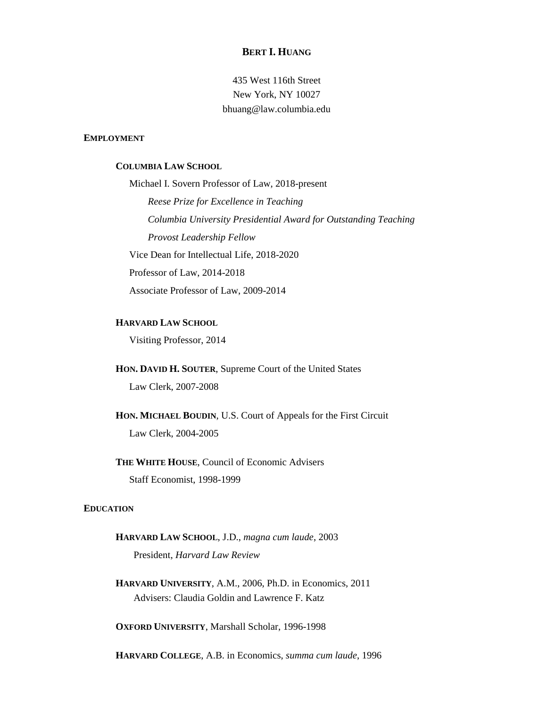# **BERT I. HUANG**

435 West 116th Street New York, NY 10027 bhuang@law.columbia.edu

## **EMPLOYMENT**

## **COLUMBIA LAW SCHOOL**

Michael I. Sovern Professor of Law, 2018-present *Reese Prize for Excellence in Teaching Columbia University Presidential Award for Outstanding Teaching Provost Leadership Fellow* Vice Dean for Intellectual Life, 2018-2020 Professor of Law, 2014-2018 Associate Professor of Law, 2009-2014

#### **HARVARD LAW SCHOOL**

Visiting Professor, 2014

**HON. DAVID H. SOUTER**, Supreme Court of the United States

Law Clerk, 2007-2008

**HON. MICHAEL BOUDIN**, U.S. Court of Appeals for the First Circuit Law Clerk, 2004-2005

# **THE WHITE HOUSE**, Council of Economic Advisers Staff Economist, 1998-1999

#### **EDUCATION**

# **HARVARD LAW SCHOOL**, J.D., *magna cum laude*, 2003 President, *Harvard Law Review*

**HARVARD UNIVERSITY**, A.M., 2006, Ph.D. in Economics, 2011 Advisers: Claudia Goldin and Lawrence F. Katz

**OXFORD UNIVERSITY**, Marshall Scholar, 1996-1998

**HARVARD COLLEGE**, A.B. in Economics, *summa cum laude*, 1996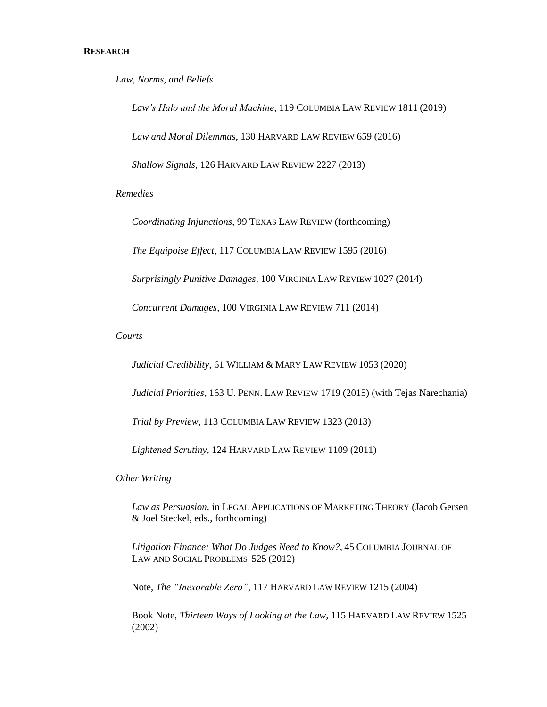*Law, Norms, and Beliefs*

*Law's Halo and the Moral Machine*, 119 COLUMBIA LAW REVIEW 1811 (2019) *Law and Moral Dilemmas*, 130 HARVARD LAW REVIEW 659 (2016) *Shallow Signals*, 126 HARVARD LAW REVIEW 2227 (2013)

*Remedies*

*Coordinating Injunctions*, 99 TEXAS LAW REVIEW (forthcoming)

*The Equipoise Effect*, 117 COLUMBIA LAW REVIEW 1595 (2016)

*Surprisingly Punitive Damages*, 100 VIRGINIA LAW REVIEW 1027 (2014)

*Concurrent Damages*, 100 VIRGINIA LAW REVIEW 711 (2014)

*Courts* 

*Judicial Credibility*, 61 WILLIAM & MARY LAW REVIEW 1053 (2020)

*Judicial Priorities*, 163 U. PENN. LAW REVIEW 1719 (2015) (with Tejas Narechania)

*Trial by Preview*, 113 COLUMBIA LAW REVIEW 1323 (2013)

*Lightened Scrutiny*, 124 HARVARD LAW REVIEW 1109 (2011)

*Other Writing*

*Law as Persuasion*, in LEGAL APPLICATIONS OF MARKETING THEORY (Jacob Gersen & Joel Steckel, eds., forthcoming)

*Litigation Finance: What Do Judges Need to Know?*, 45 COLUMBIA JOURNAL OF LAW AND SOCIAL PROBLEMS 525 (2012)

Note, *The "Inexorable Zero"*, 117 HARVARD LAW REVIEW 1215 (2004)

Book Note, *Thirteen Ways of Looking at the Law*, 115 HARVARD LAW REVIEW 1525 (2002)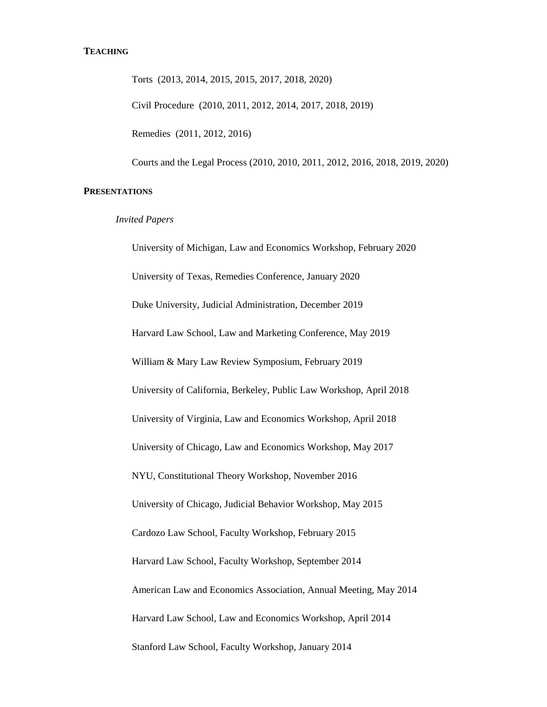# **TEACHING**

Torts (2013, 2014, 2015, 2015, 2017, 2018, 2020) Civil Procedure (2010, 2011, 2012, 2014, 2017, 2018, 2019) Remedies (2011, 2012, 2016) Courts and the Legal Process (2010, 2010, 2011, 2012, 2016, 2018, 2019, 2020)

# **PRESENTATIONS**

#### *Invited Papers*

University of Michigan, Law and Economics Workshop, February 2020 University of Texas, Remedies Conference, January 2020 Duke University, Judicial Administration, December 2019 Harvard Law School, Law and Marketing Conference, May 2019 William & Mary Law Review Symposium, February 2019 University of California, Berkeley, Public Law Workshop, April 2018 University of Virginia, Law and Economics Workshop, April 2018 University of Chicago, Law and Economics Workshop, May 2017 NYU, Constitutional Theory Workshop, November 2016 University of Chicago, Judicial Behavior Workshop, May 2015 Cardozo Law School, Faculty Workshop, February 2015 Harvard Law School, Faculty Workshop, September 2014 American Law and Economics Association, Annual Meeting, May 2014 Harvard Law School, Law and Economics Workshop, April 2014 Stanford Law School, Faculty Workshop, January 2014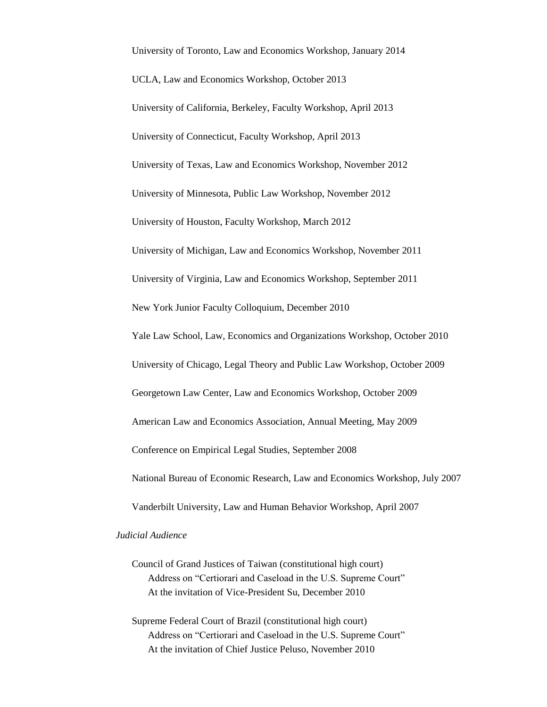University of Toronto, Law and Economics Workshop, January 2014 UCLA, Law and Economics Workshop, October 2013 University of California, Berkeley, Faculty Workshop, April 2013 University of Connecticut, Faculty Workshop, April 2013 University of Texas, Law and Economics Workshop, November 2012 University of Minnesota, Public Law Workshop, November 2012 University of Houston, Faculty Workshop, March 2012 University of Michigan, Law and Economics Workshop, November 2011 University of Virginia, Law and Economics Workshop, September 2011 New York Junior Faculty Colloquium, December 2010 Yale Law School, Law, Economics and Organizations Workshop, October 2010 University of Chicago, Legal Theory and Public Law Workshop, October 2009 Georgetown Law Center, Law and Economics Workshop, October 2009 American Law and Economics Association, Annual Meeting, May 2009 Conference on Empirical Legal Studies, September 2008 National Bureau of Economic Research, Law and Economics Workshop, July 2007 Vanderbilt University, Law and Human Behavior Workshop, April 2007

# *Judicial Audience*

- Council of Grand Justices of Taiwan (constitutional high court) Address on "Certiorari and Caseload in the U.S. Supreme Court" At the invitation of Vice-President Su, December 2010
- Supreme Federal Court of Brazil (constitutional high court) Address on "Certiorari and Caseload in the U.S. Supreme Court" At the invitation of Chief Justice Peluso, November 2010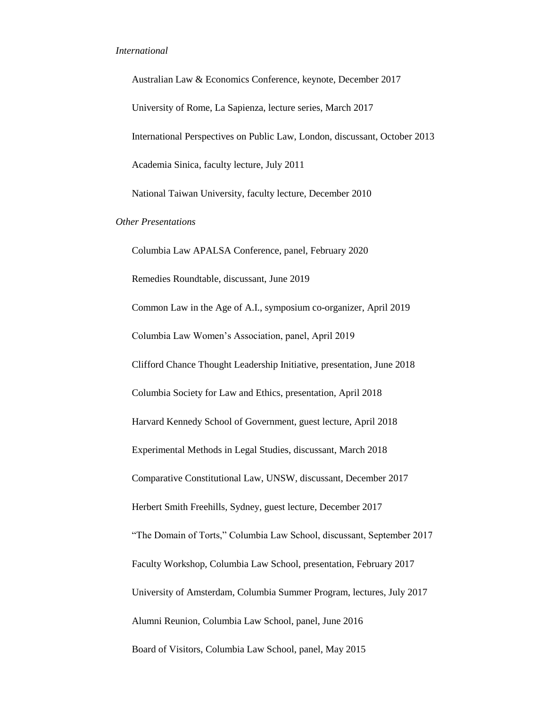#### *International*

Australian Law & Economics Conference, keynote, December 2017 University of Rome, La Sapienza, lecture series, March 2017 International Perspectives on Public Law, London, discussant, October 2013 Academia Sinica, faculty lecture, July 2011 National Taiwan University, faculty lecture, December 2010 *Other Presentations* Columbia Law APALSA Conference, panel, February 2020 Remedies Roundtable, discussant, June 2019 Common Law in the Age of A.I., symposium co-organizer, April 2019 Columbia Law Women's Association, panel, April 2019 Clifford Chance Thought Leadership Initiative, presentation, June 2018 Columbia Society for Law and Ethics, presentation, April 2018 Harvard Kennedy School of Government, guest lecture, April 2018 Experimental Methods in Legal Studies, discussant, March 2018 Comparative Constitutional Law, UNSW, discussant, December 2017 Herbert Smith Freehills, Sydney, guest lecture, December 2017 "The Domain of Torts," Columbia Law School, discussant, September 2017 Faculty Workshop, Columbia Law School, presentation, February 2017 University of Amsterdam, Columbia Summer Program, lectures, July 2017 Alumni Reunion, Columbia Law School, panel, June 2016 Board of Visitors, Columbia Law School, panel, May 2015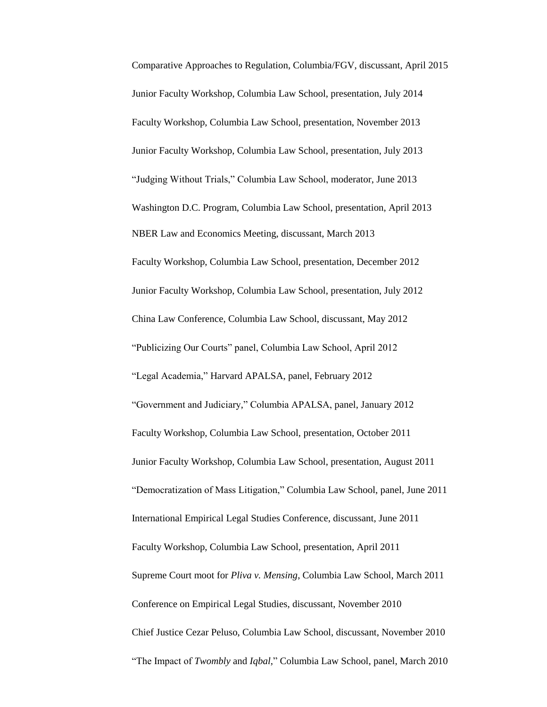Comparative Approaches to Regulation, Columbia/FGV, discussant, April 2015 Junior Faculty Workshop, Columbia Law School, presentation, July 2014 Faculty Workshop, Columbia Law School, presentation, November 2013 Junior Faculty Workshop, Columbia Law School, presentation, July 2013 "Judging Without Trials," Columbia Law School, moderator, June 2013 Washington D.C. Program, Columbia Law School, presentation, April 2013 NBER Law and Economics Meeting, discussant, March 2013 Faculty Workshop, Columbia Law School, presentation, December 2012 Junior Faculty Workshop, Columbia Law School, presentation, July 2012 China Law Conference, Columbia Law School, discussant, May 2012 "Publicizing Our Courts" panel, Columbia Law School, April 2012 "Legal Academia," Harvard APALSA, panel, February 2012 "Government and Judiciary," Columbia APALSA, panel, January 2012 Faculty Workshop, Columbia Law School, presentation, October 2011 Junior Faculty Workshop, Columbia Law School, presentation, August 2011 "Democratization of Mass Litigation," Columbia Law School, panel, June 2011 International Empirical Legal Studies Conference, discussant, June 2011 Faculty Workshop, Columbia Law School, presentation, April 2011 Supreme Court moot for *Pliva v. Mensing*, Columbia Law School, March 2011 Conference on Empirical Legal Studies, discussant, November 2010 Chief Justice Cezar Peluso, Columbia Law School, discussant, November 2010 "The Impact of *Twombly* and *Iqbal*," Columbia Law School, panel, March 2010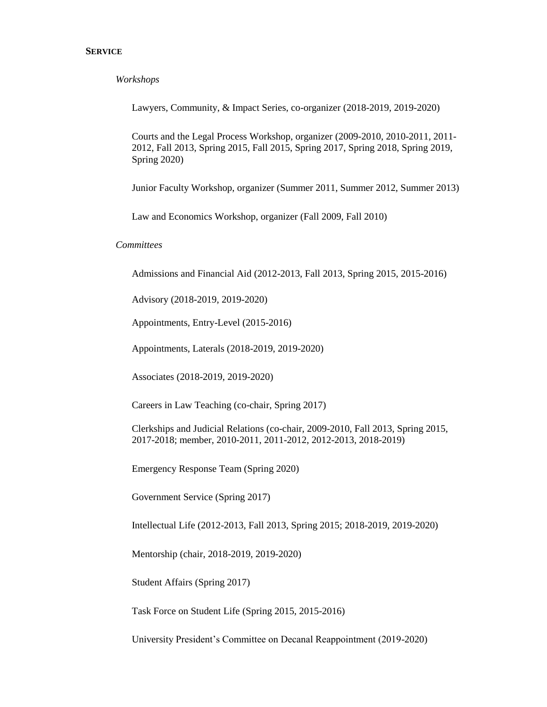## **SERVICE**

*Workshops*

Lawyers, Community, & Impact Series, co-organizer (2018-2019, 2019-2020)

Courts and the Legal Process Workshop, organizer (2009-2010, 2010-2011, 2011- 2012, Fall 2013, Spring 2015, Fall 2015, Spring 2017, Spring 2018, Spring 2019, Spring 2020)

Junior Faculty Workshop, organizer (Summer 2011, Summer 2012, Summer 2013)

Law and Economics Workshop, organizer (Fall 2009, Fall 2010)

*Committees*

Admissions and Financial Aid (2012-2013, Fall 2013, Spring 2015, 2015-2016)

Advisory (2018-2019, 2019-2020)

Appointments, Entry-Level (2015-2016)

Appointments, Laterals (2018-2019, 2019-2020)

Associates (2018-2019, 2019-2020)

Careers in Law Teaching (co-chair, Spring 2017)

Clerkships and Judicial Relations (co-chair, 2009-2010, Fall 2013, Spring 2015, 2017-2018; member, 2010-2011, 2011-2012, 2012-2013, 2018-2019)

Emergency Response Team (Spring 2020)

Government Service (Spring 2017)

Intellectual Life (2012-2013, Fall 2013, Spring 2015; 2018-2019, 2019-2020)

Mentorship (chair, 2018-2019, 2019-2020)

Student Affairs (Spring 2017)

Task Force on Student Life (Spring 2015, 2015-2016)

University President's Committee on Decanal Reappointment (2019-2020)